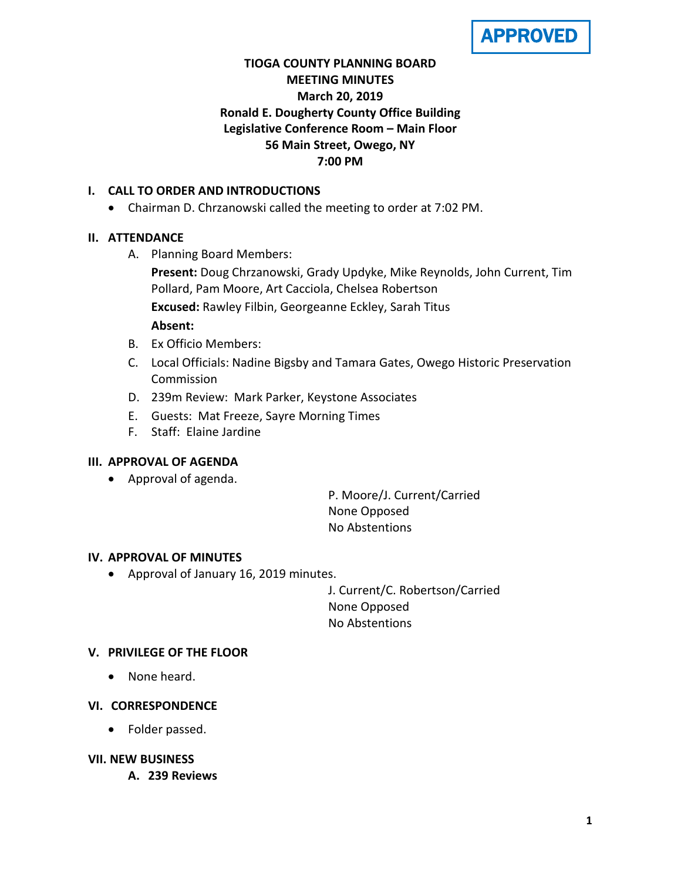**APPROVED** 

# **TIOGA COUNTY PLANNING BOARD MEETING MINUTES March 20, 2019 Ronald E. Dougherty County Office Building Legislative Conference Room – Main Floor 56 Main Street, Owego, NY 7:00 PM**

## **I. CALL TO ORDER AND INTRODUCTIONS**

• Chairman D. Chrzanowski called the meeting to order at 7:02 PM.

## **II. ATTENDANCE**

A. Planning Board Members:

**Present:** Doug Chrzanowski, Grady Updyke, Mike Reynolds, John Current, Tim Pollard, Pam Moore, Art Cacciola, Chelsea Robertson **Excused:** Rawley Filbin, Georgeanne Eckley, Sarah Titus

#### **Absent:**

- B. Ex Officio Members:
- C. Local Officials: Nadine Bigsby and Tamara Gates, Owego Historic Preservation Commission
- D. 239m Review: Mark Parker, Keystone Associates
- E. Guests: Mat Freeze, Sayre Morning Times
- F. Staff: Elaine Jardine

#### **III. APPROVAL OF AGENDA**

• Approval of agenda.

P. Moore/J. Current/Carried None Opposed No Abstentions

#### **IV. APPROVAL OF MINUTES**

• Approval of January 16, 2019 minutes.

J. Current/C. Robertson/Carried None Opposed No Abstentions

#### **V. PRIVILEGE OF THE FLOOR**

• None heard.

#### **VI. CORRESPONDENCE**

• Folder passed.

#### **VII. NEW BUSINESS**

**A. 239 Reviews**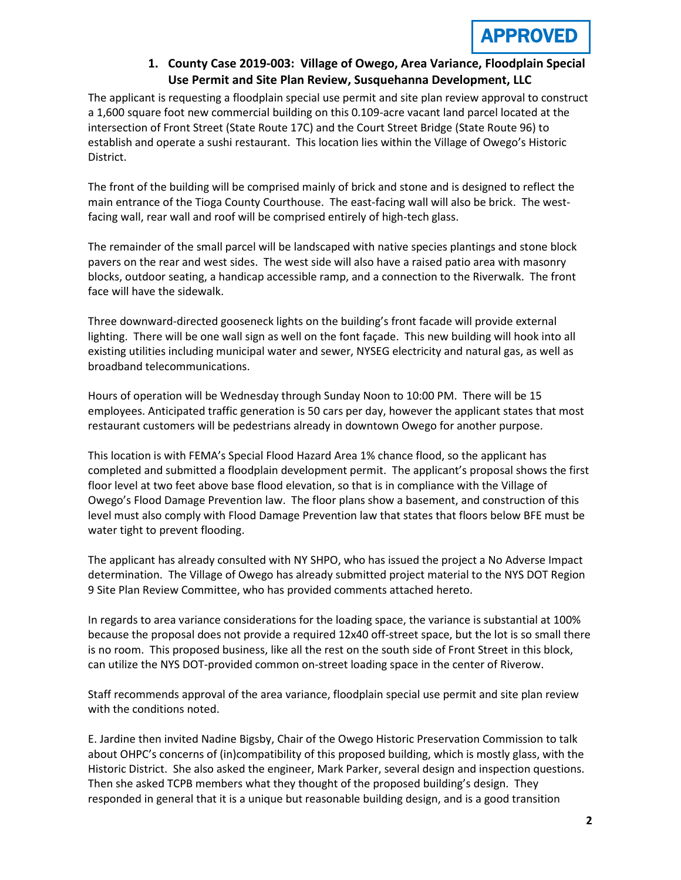APPROV

## **1. County Case 2019-003: Village of Owego, Area Variance, Floodplain Special Use Permit and Site Plan Review, Susquehanna Development, LLC**

The applicant is requesting a floodplain special use permit and site plan review approval to construct a 1,600 square foot new commercial building on this 0.109-acre vacant land parcel located at the intersection of Front Street (State Route 17C) and the Court Street Bridge (State Route 96) to establish and operate a sushi restaurant. This location lies within the Village of Owego's Historic District.

The front of the building will be comprised mainly of brick and stone and is designed to reflect the main entrance of the Tioga County Courthouse. The east-facing wall will also be brick. The westfacing wall, rear wall and roof will be comprised entirely of high-tech glass.

The remainder of the small parcel will be landscaped with native species plantings and stone block pavers on the rear and west sides. The west side will also have a raised patio area with masonry blocks, outdoor seating, a handicap accessible ramp, and a connection to the Riverwalk. The front face will have the sidewalk.

Three downward-directed gooseneck lights on the building's front facade will provide external lighting. There will be one wall sign as well on the font façade. This new building will hook into all existing utilities including municipal water and sewer, NYSEG electricity and natural gas, as well as broadband telecommunications.

Hours of operation will be Wednesday through Sunday Noon to 10:00 PM. There will be 15 employees. Anticipated traffic generation is 50 cars per day, however the applicant states that most restaurant customers will be pedestrians already in downtown Owego for another purpose.

This location is with FEMA's Special Flood Hazard Area 1% chance flood, so the applicant has completed and submitted a floodplain development permit. The applicant's proposal shows the first floor level at two feet above base flood elevation, so that is in compliance with the Village of Owego's Flood Damage Prevention law. The floor plans show a basement, and construction of this level must also comply with Flood Damage Prevention law that states that floors below BFE must be water tight to prevent flooding.

The applicant has already consulted with NY SHPO, who has issued the project a No Adverse Impact determination. The Village of Owego has already submitted project material to the NYS DOT Region 9 Site Plan Review Committee, who has provided comments attached hereto.

In regards to area variance considerations for the loading space, the variance is substantial at 100% because the proposal does not provide a required 12x40 off-street space, but the lot is so small there is no room. This proposed business, like all the rest on the south side of Front Street in this block, can utilize the NYS DOT-provided common on-street loading space in the center of Riverow.

Staff recommends approval of the area variance, floodplain special use permit and site plan review with the conditions noted.

E. Jardine then invited Nadine Bigsby, Chair of the Owego Historic Preservation Commission to talk about OHPC's concerns of (in)compatibility of this proposed building, which is mostly glass, with the Historic District. She also asked the engineer, Mark Parker, several design and inspection questions. Then she asked TCPB members what they thought of the proposed building's design. They responded in general that it is a unique but reasonable building design, and is a good transition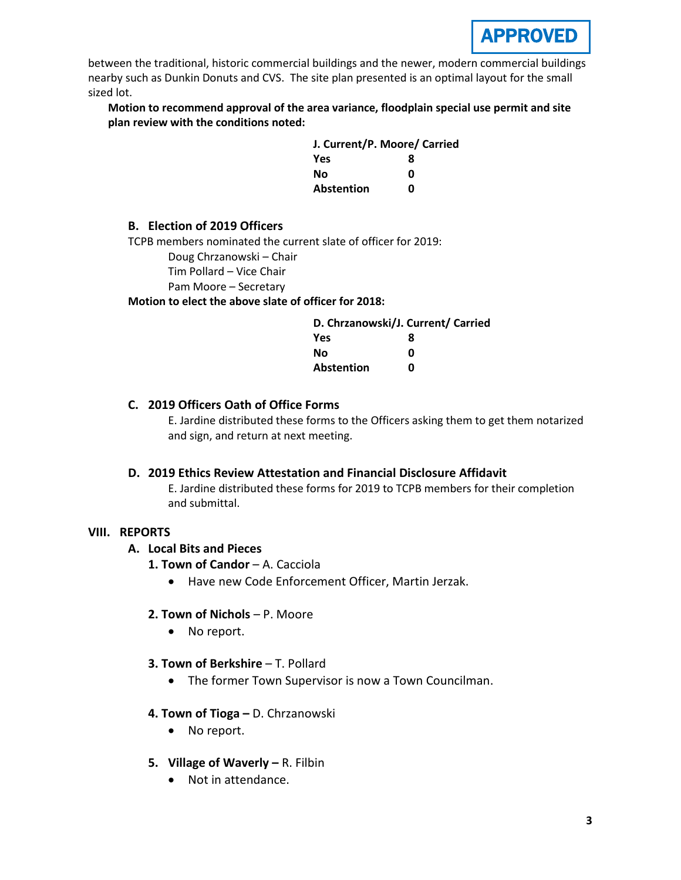between the traditional, historic commercial buildings and the newer, modern commercial buildings nearby such as Dunkin Donuts and CVS. The site plan presented is an optimal layout for the small sized lot.

**Motion to recommend approval of the area variance, floodplain special use permit and site plan review with the conditions noted:**

| J. Current/P. Moore/ Carried |   |
|------------------------------|---|
| <b>Yes</b>                   | я |
| Nο                           | ŋ |
| Abstention                   | ŋ |

#### **B. Election of 2019 Officers**

TCPB members nominated the current slate of officer for 2019:

Doug Chrzanowski – Chair

Tim Pollard – Vice Chair

Pam Moore – Secretary

**Motion to elect the above slate of officer for 2018:**

| D. Chrzanowski/J. Current/ Carried |   |
|------------------------------------|---|
| Yes                                | 8 |
| Nο                                 | ŋ |
| Abstention                         | n |

#### **C. 2019 Officers Oath of Office Forms**

E. Jardine distributed these forms to the Officers asking them to get them notarized and sign, and return at next meeting.

#### **D. 2019 Ethics Review Attestation and Financial Disclosure Affidavit**

E. Jardine distributed these forms for 2019 to TCPB members for their completion and submittal.

#### **VIII. REPORTS**

#### **A. Local Bits and Pieces**

- **1. Town of Candor** A. Cacciola
	- Have new Code Enforcement Officer, Martin Jerzak.

#### **2. Town of Nichols** – P. Moore

- No report.
- **3. Town of Berkshire**  T. Pollard
	- The former Town Supervisor is now a Town Councilman.

#### **4. Town of Tioga –** D. Chrzanowski

- No report.
- **5. Village of Waverly –** R. Filbin
	- Not in attendance.